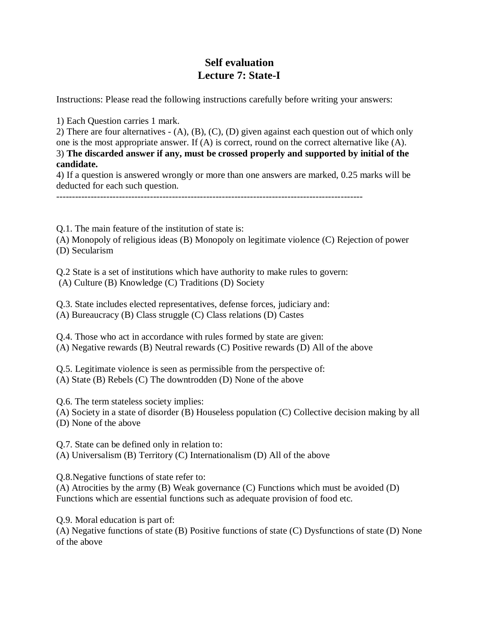## **Self evaluation Lecture 7: State-I**

Instructions: Please read the following instructions carefully before writing your answers:

1) Each Question carries 1 mark.

2) There are four alternatives - (A), (B), (C), (D) given against each question out of which only one is the most appropriate answer. If (A) is correct, round on the correct alternative like (A). 3) **The discarded answer if any, must be crossed properly and supported by initial of the candidate.**

4) If a question is answered wrongly or more than one answers are marked, 0.25 marks will be deducted for each such question.

--------------------------------------------------------------------------------------------------

Q.1. The main feature of the institution of state is:

(A) Monopoly of religious ideas (B) Monopoly on legitimate violence (C) Rejection of power (D) Secularism

Q.2 State is a set of institutions which have authority to make rules to govern: (A) Culture (B) Knowledge (C) Traditions (D) Society

Q.3. State includes elected representatives, defense forces, judiciary and:

(A) Bureaucracy (B) Class struggle (C) Class relations (D) Castes

Q.4. Those who act in accordance with rules formed by state are given: (A) Negative rewards (B) Neutral rewards (C) Positive rewards (D) All of the above

Q.5. Legitimate violence is seen as permissible from the perspective of: (A) State (B) Rebels (C) The downtrodden (D) None of the above

Q.6. The term stateless society implies:

(A) Society in a state of disorder (B) Houseless population (C) Collective decision making by all (D) None of the above

Q.7. State can be defined only in relation to: (A) Universalism (B) Territory (C) Internationalism (D) All of the above

Q.8.Negative functions of state refer to:

(A) Atrocities by the army (B) Weak governance (C) Functions which must be avoided (D) Functions which are essential functions such as adequate provision of food etc.

Q.9. Moral education is part of:

(A) Negative functions of state (B) Positive functions of state (C) Dysfunctions of state (D) None of the above